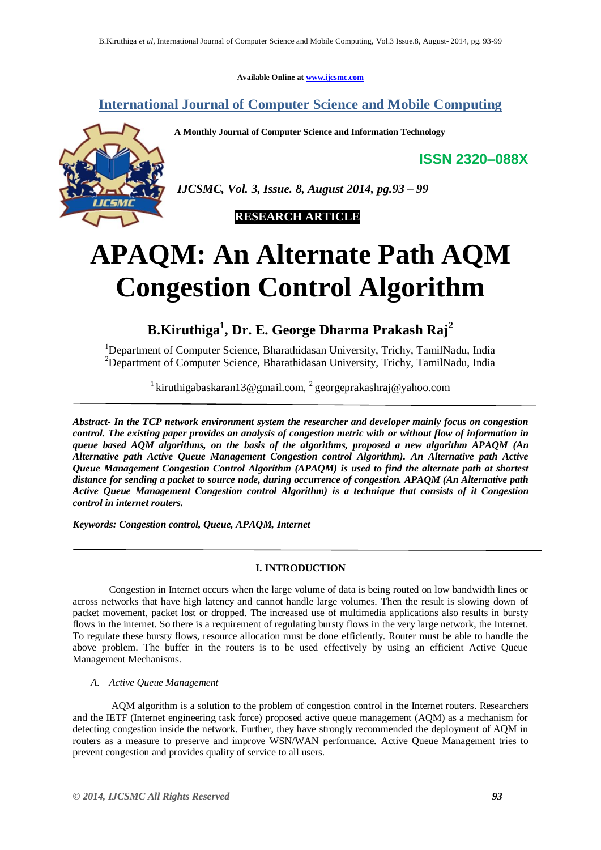**Available Online at www.ijcsmc.com**

**International Journal of Computer Science and Mobile Computing**

**A Monthly Journal of Computer Science and Information Technology**

**ISSN 2320–088X**



*IJCSMC, Vol. 3, Issue. 8, August 2014, pg.93 – 99*



# **APAQM: An Alternate Path AQM Congestion Control Algorithm**

**B.Kiruthiga<sup>1</sup> , Dr. E. George Dharma Prakash Raj<sup>2</sup>**

<sup>1</sup>Department of Computer Science, Bharathidasan University, Trichy, TamilNadu, India <sup>2</sup>Department of Computer Science, Bharathidasan University, Trichy, TamilNadu, India

<sup>1</sup> kiruthigabaskaran13@gmail.com, <sup>2</sup> georgeprakashraj@yahoo.com

*Abstract- In the TCP network environment system the researcher and developer mainly focus on congestion control. The existing paper provides an analysis of congestion metric with or without flow of information in queue based AQM algorithms, on the basis of the algorithms, proposed a new algorithm APAQM (An Alternative path Active Queue Management Congestion control Algorithm). An Alternative path Active Queue Management Congestion Control Algorithm (APAQM) is used to find the alternate path at shortest distance for sending a packet to source node, during occurrence of congestion. APAQM (An Alternative path Active Queue Management Congestion control Algorithm) is a technique that consists of it Congestion control in internet routers.*

*Keywords: Congestion control, Queue, APAQM, Internet* 

# **I. INTRODUCTION**

Congestion in Internet occurs when the large volume of data is being routed on low bandwidth lines or across networks that have high latency and cannot handle large volumes. Then the result is slowing down of packet movement, packet lost or dropped. The increased use of multimedia applications also results in bursty flows in the internet. So there is a requirement of regulating bursty flows in the very large network, the Internet. To regulate these bursty flows, resource allocation must be done efficiently. Router must be able to handle the above problem. The buffer in the routers is to be used effectively by using an efficient Active Queue Management Mechanisms.

*A. Active Queue Management*

AQM algorithm is a solution to the problem of congestion control in the Internet routers. Researchers and the IETF (Internet engineering task force) proposed active queue management (AQM) as a mechanism for detecting congestion inside the network. Further, they have strongly recommended the deployment of AQM in routers as a measure to preserve and improve WSN/WAN performance. Active Queue Management tries to prevent congestion and provides quality of service to all users.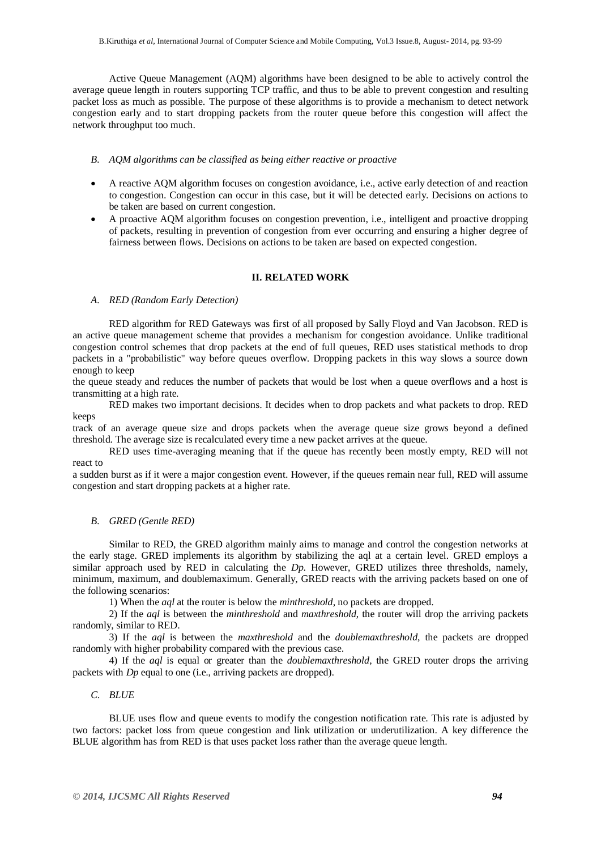Active Queue Management (AQM) algorithms have been designed to be able to actively control the average queue length in routers supporting TCP traffic, and thus to be able to prevent congestion and resulting packet loss as much as possible. The purpose of these algorithms is to provide a mechanism to detect network congestion early and to start dropping packets from the router queue before this congestion will affect the network throughput too much.

#### *B. AQM algorithms can be classified as being either reactive or proactive*

- A reactive AQM algorithm focuses on congestion avoidance, i.e., active early detection of and reaction to congestion. Congestion can occur in this case, but it will be detected early. Decisions on actions to be taken are based on current congestion.
- A proactive AQM algorithm focuses on congestion prevention, i.e., intelligent and proactive dropping of packets, resulting in prevention of congestion from ever occurring and ensuring a higher degree of fairness between flows. Decisions on actions to be taken are based on expected congestion.

## **II. RELATED WORK**

#### *A. RED (Random Early Detection)*

RED algorithm for RED Gateways was first of all proposed by Sally Floyd and Van Jacobson. RED is an active queue management scheme that provides a mechanism for congestion avoidance. Unlike traditional congestion control schemes that drop packets at the end of full queues, RED uses statistical methods to drop packets in a "probabilistic" way before queues overflow. Dropping packets in this way slows a source down enough to keep

the queue steady and reduces the number of packets that would be lost when a queue overflows and a host is transmitting at a high rate.

RED makes two important decisions. It decides when to drop packets and what packets to drop. RED keeps

track of an average queue size and drops packets when the average queue size grows beyond a defined threshold. The average size is recalculated every time a new packet arrives at the queue.

RED uses time-averaging meaning that if the queue has recently been mostly empty, RED will not react to

a sudden burst as if it were a major congestion event. However, if the queues remain near full, RED will assume congestion and start dropping packets at a higher rate.

#### *B. GRED (Gentle RED)*

Similar to RED, the GRED algorithm mainly aims to manage and control the congestion networks at the early stage. GRED implements its algorithm by stabilizing the aql at a certain level. GRED employs a similar approach used by RED in calculating the *Dp*. However, GRED utilizes three thresholds, namely, minimum, maximum, and doublemaximum. Generally, GRED reacts with the arriving packets based on one of the following scenarios:

1) When the *aql* at the router is below the *minthreshold*, no packets are dropped.

2) If the *aql* is between the *minthreshold* and *maxthreshold*, the router will drop the arriving packets randomly, similar to RED.

3) If the *aql* is between the *maxthreshold* and the *doublemaxthreshold*, the packets are dropped randomly with higher probability compared with the previous case.

4) If the *aql* is equal or greater than the *doublemaxthreshold*, the GRED router drops the arriving packets with *Dp* equal to one (i.e., arriving packets are dropped).

## *C. BLUE*

BLUE uses flow and queue events to modify the congestion notification rate. This rate is adjusted by two factors: packet loss from queue congestion and link utilization or underutilization. A key difference the BLUE algorithm has from RED is that uses packet loss rather than the average queue length.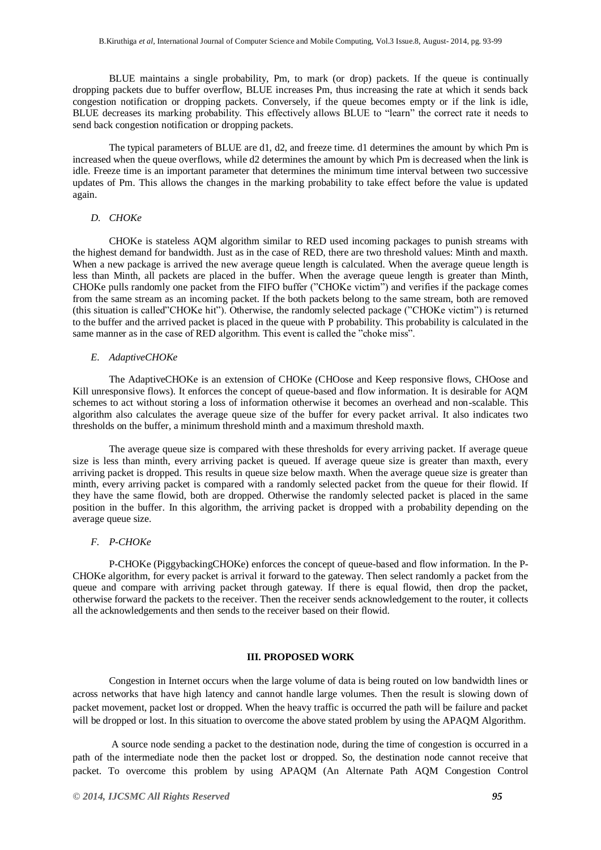BLUE maintains a single probability, Pm, to mark (or drop) packets. If the queue is continually dropping packets due to buffer overflow, BLUE increases Pm, thus increasing the rate at which it sends back congestion notification or dropping packets. Conversely, if the queue becomes empty or if the link is idle, BLUE decreases its marking probability. This effectively allows BLUE to "learn" the correct rate it needs to send back congestion notification or dropping packets.

The typical parameters of BLUE are d1, d2, and freeze time. d1 determines the amount by which Pm is increased when the queue overflows, while d2 determines the amount by which Pm is decreased when the link is idle. Freeze time is an important parameter that determines the minimum time interval between two successive updates of Pm. This allows the changes in the marking probability to take effect before the value is updated again.

# *D. CHOKe*

CHOKe is stateless AQM algorithm similar to RED used incoming packages to punish streams with the highest demand for bandwidth. Just as in the case of RED, there are two threshold values: Minth and maxth. When a new package is arrived the new average queue length is calculated. When the average queue length is less than Minth, all packets are placed in the buffer. When the average queue length is greater than Minth, CHOKe pulls randomly one packet from the FIFO buffer ("CHOKe victim") and verifies if the package comes from the same stream as an incoming packet. If the both packets belong to the same stream, both are removed (this situation is called"CHOKe hit"). Otherwise, the randomly selected package ("CHOKe victim") is returned to the buffer and the arrived packet is placed in the queue with P probability. This probability is calculated in the same manner as in the case of RED algorithm. This event is called the "choke miss".

#### *E. AdaptiveCHOKe*

The AdaptiveCHOKe is an extension of CHOKe (CHOose and Keep responsive flows, CHOose and Kill unresponsive flows). It enforces the concept of queue-based and flow information. It is desirable for AQM schemes to act without storing a loss of information otherwise it becomes an overhead and non-scalable. This algorithm also calculates the average queue size of the buffer for every packet arrival. It also indicates two thresholds on the buffer, a minimum threshold minth and a maximum threshold maxth.

The average queue size is compared with these thresholds for every arriving packet. If average queue size is less than minth, every arriving packet is queued. If average queue size is greater than maxth, every arriving packet is dropped. This results in queue size below maxth. When the average queue size is greater than minth, every arriving packet is compared with a randomly selected packet from the queue for their flowid. If they have the same flowid, both are dropped. Otherwise the randomly selected packet is placed in the same position in the buffer. In this algorithm, the arriving packet is dropped with a probability depending on the average queue size.

# *F. P-CHOKe*

P-CHOKe (PiggybackingCHOKe) enforces the concept of queue-based and flow information. In the P-CHOKe algorithm, for every packet is arrival it forward to the gateway. Then select randomly a packet from the queue and compare with arriving packet through gateway. If there is equal flowid, then drop the packet, otherwise forward the packets to the receiver. Then the receiver sends acknowledgement to the router, it collects all the acknowledgements and then sends to the receiver based on their flowid.

#### **III. PROPOSED WORK**

Congestion in Internet occurs when the large volume of data is being routed on low bandwidth lines or across networks that have high latency and cannot handle large volumes. Then the result is slowing down of packet movement, packet lost or dropped. When the heavy traffic is occurred the path will be failure and packet will be dropped or lost. In this situation to overcome the above stated problem by using the APAQM Algorithm.

A source node sending a packet to the destination node, during the time of congestion is occurred in a path of the intermediate node then the packet lost or dropped. So, the destination node cannot receive that packet. To overcome this problem by using APAQM (An Alternate Path AQM Congestion Control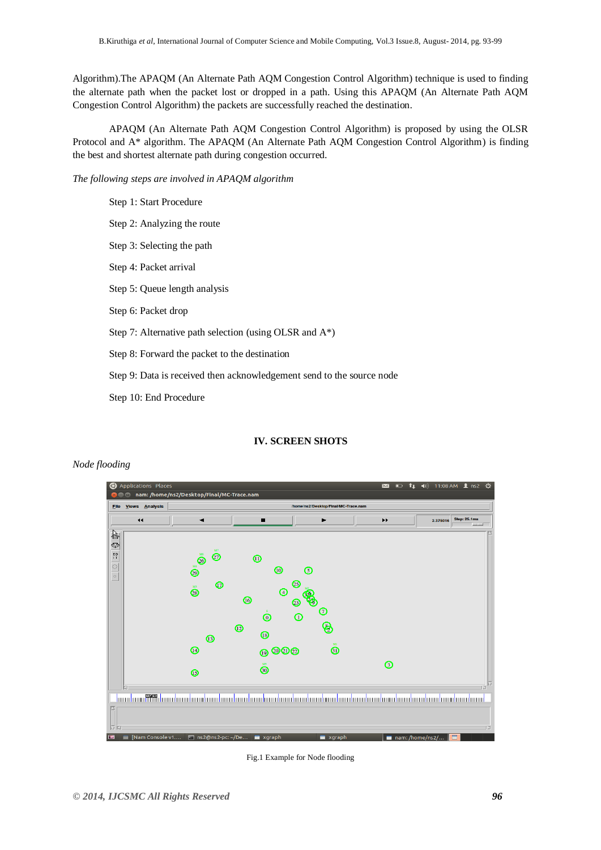Algorithm).The APAQM (An Alternate Path AQM Congestion Control Algorithm) technique is used to finding the alternate path when the packet lost or dropped in a path. Using this APAQM (An Alternate Path AQM Congestion Control Algorithm) the packets are successfully reached the destination.

APAQM (An Alternate Path AQM Congestion Control Algorithm) is proposed by using the OLSR Protocol and A\* algorithm. The APAQM (An Alternate Path AQM Congestion Control Algorithm) is finding the best and shortest alternate path during congestion occurred.

*The following steps are involved in APAQM algorithm*

Step 1: Start Procedure Step 2: Analyzing the route Step 3: Selecting the path Step 4: Packet arrival Step 5: Queue length analysis Step 6: Packet drop Step 7: Alternative path selection (using OLSR and A\*) Step 8: Forward the packet to the destination Step 9: Data is received then acknowledgement send to the source node Step 10: End Procedure

# **IV. SCREEN SHOTS**

# *Node flooding*



Fig.1 Example for Node flooding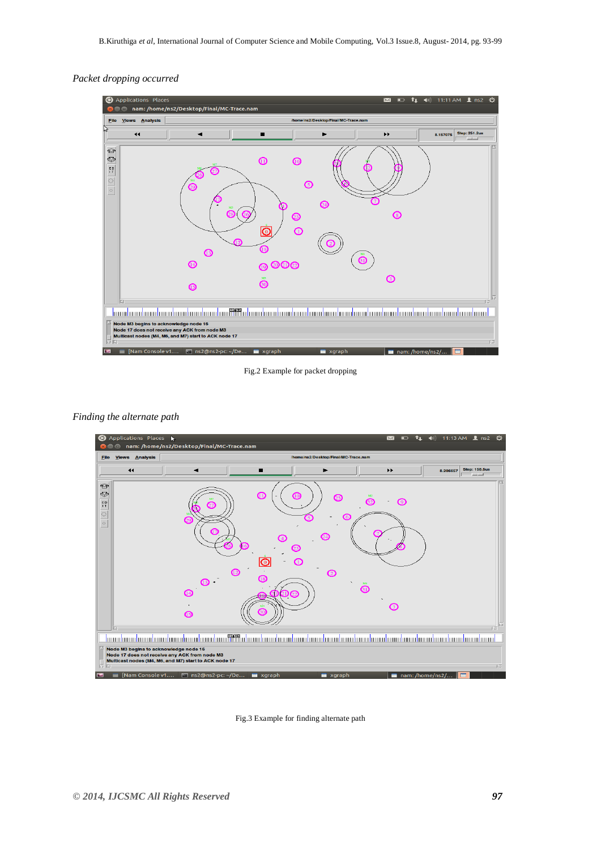# *Packet dropping occurred*



Fig.2 Example for packet dropping

#### *Finding the alternate path*



Fig.3 Example for finding alternate path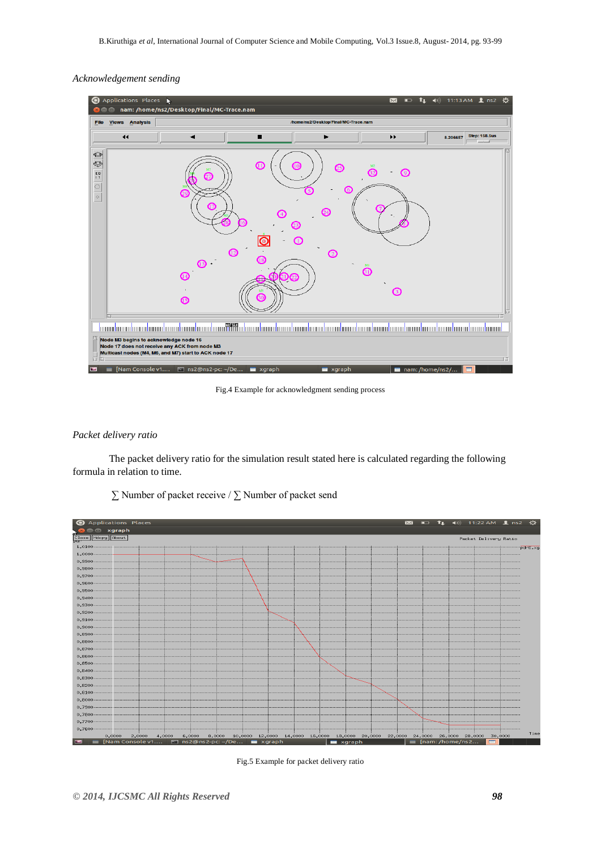# *Acknowledgement sending*



Fig.4 Example for acknowledgment sending process

# *Packet delivery ratio*

The packet delivery ratio for the simulation result stated here is calculated regarding the following formula in relation to time.



∑ Number of packet receive / ∑ Number of packet send

Fig.5 Example for packet delivery ratio